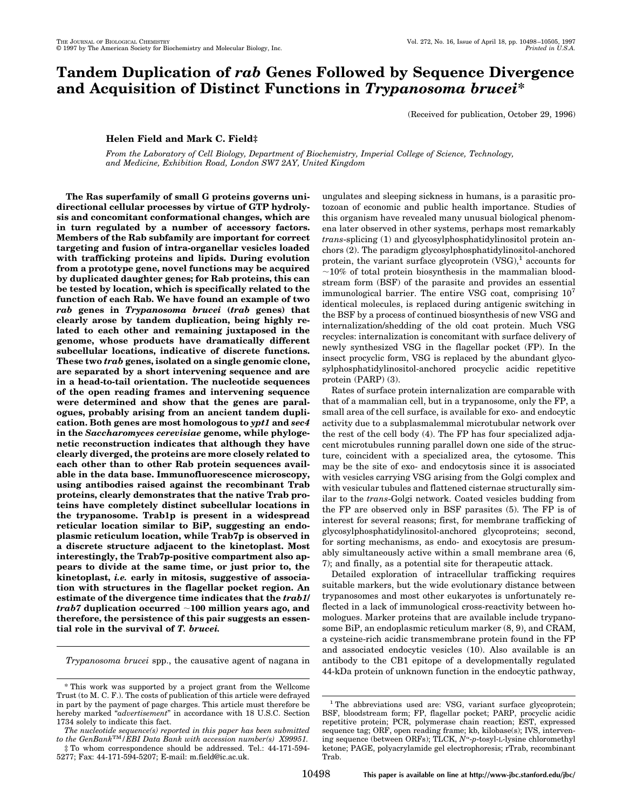# **Tandem Duplication of** *rab* **Genes Followed by Sequence Divergence and Acquisition of Distinct Functions in** *Trypanosoma brucei***\***

(Received for publication, October 29, 1996)

## **Helen Field and Mark C. Field‡**

*From the Laboratory of Cell Biology, Department of Biochemistry, Imperial College of Science, Technology, and Medicine, Exhibition Road, London SW7 2AY, United Kingdom*

**The Ras superfamily of small G proteins governs unidirectional cellular processes by virtue of GTP hydrolysis and concomitant conformational changes, which are in turn regulated by a number of accessory factors. Members of the Rab subfamily are important for correct targeting and fusion of intra-organellar vesicles loaded with trafficking proteins and lipids. During evolution from a prototype gene, novel functions may be acquired by duplicated daughter genes; for Rab proteins, this can be tested by location, which is specifically related to the function of each Rab. We have found an example of two** *rab* **genes in** *Trypanosoma brucei* **(***trab* **genes) that clearly arose by tandem duplication, being highly related to each other and remaining juxtaposed in the genome, whose products have dramatically different subcellular locations, indicative of discrete functions. These two** *trab* **genes, isolated on a single genomic clone, are separated by a short intervening sequence and are in a head-to-tail orientation. The nucleotide sequences of the open reading frames and intervening sequence were determined and show that the genes are paralogues, probably arising from an ancient tandem duplication. Both genes are most homologous to** *ypt1* **and** *sec4* **in the** *Saccharomyces cerevisiae* **genome, while phylogenetic reconstruction indicates that although they have clearly diverged, the proteins are more closely related to each other than to other Rab protein sequences available in the data base. Immunofluorescence microscopy, using antibodies raised against the recombinant Trab proteins, clearly demonstrates that the native Trab proteins have completely distinct subcellular locations in the trypanosome. Trab1p is present in a widespread reticular location similar to BiP, suggesting an endoplasmic reticulum location, while Trab7p is observed in a discrete structure adjacent to the kinetoplast. Most interestingly, the Trab7p-positive compartment also appears to divide at the same time, or just prior to, the kinetoplast,** *i.e.* **early in mitosis, suggestive of association with structures in the flagellar pocket region. An estimate of the divergence time indicates that the** *trab1/ trab7* **duplication occurred** ;**100 million years ago, and therefore, the persistence of this pair suggests an essential role in the survival of** *T. brucei.*

*Trypanosoma brucei* spp., the causative agent of nagana in

ungulates and sleeping sickness in humans, is a parasitic protozoan of economic and public health importance. Studies of this organism have revealed many unusual biological phenomena later observed in other systems, perhaps most remarkably *trans*-splicing (1) and glycosylphosphatidylinositol protein anchors (2). The paradigm glycosylphosphatidylinositol-anchored protein, the variant surface glycoprotein  $(VSG)$ ,<sup>1</sup> accounts for  $\sim$ 10% of total protein biosynthesis in the mammalian bloodstream form (BSF) of the parasite and provides an essential immunological barrier. The entire VSG coat, comprising  $10^7$ identical molecules, is replaced during antigenic switching in the BSF by a process of continued biosynthesis of new VSG and internalization/shedding of the old coat protein. Much VSG recycles: internalization is concomitant with surface delivery of newly synthesized VSG in the flagellar pocket (FP). In the insect procyclic form, VSG is replaced by the abundant glycosylphosphatidylinositol-anchored procyclic acidic repetitive protein (PARP) (3).

Rates of surface protein internalization are comparable with that of a mammalian cell, but in a trypanosome, only the FP, a small area of the cell surface, is available for exo- and endocytic activity due to a subplasmalemmal microtubular network over the rest of the cell body (4). The FP has four specialized adjacent microtubules running parallel down one side of the structure, coincident with a specialized area, the cytosome. This may be the site of exo- and endocytosis since it is associated with vesicles carrying VSG arising from the Golgi complex and with vesicular tubules and flattened cisternae structurally similar to the *trans*-Golgi network. Coated vesicles budding from the FP are observed only in BSF parasites (5). The FP is of interest for several reasons; first, for membrane trafficking of glycosylphosphatidylinositol-anchored glycoproteins; second, for sorting mechanisms, as endo- and exocytosis are presumably simultaneously active within a small membrane area (6, 7); and finally, as a potential site for therapeutic attack.

Detailed exploration of intracellular trafficking requires suitable markers, but the wide evolutionary distance between trypanosomes and most other eukaryotes is unfortunately reflected in a lack of immunological cross-reactivity between homologues. Marker proteins that are available include trypanosome BiP, an endoplasmic reticulum marker (8, 9), and CRAM, a cysteine-rich acidic transmembrane protein found in the FP and associated endocytic vesicles (10). Also available is an antibody to the CB1 epitope of a developmentally regulated 44-kDa protein of unknown function in the endocytic pathway,

<sup>\*</sup> This work was supported by a project grant from the Wellcome Trust (to M. C. F.). The costs of publication of this article were defrayed in part by the payment of page charges. This article must therefore be hereby marked "*advertisement*" in accordance with 18 U.S.C. Section 1734 solely to indicate this fact.

*The nucleotide sequence(s) reported in this paper has been submitted to the GenBank*TM*/EBI Data Bank with accession number(s) X99951.* ‡ To whom correspondence should be addressed. Tel.: 44-171-594-

<sup>5277;</sup> Fax: 44-171-594-5207; E-mail: m.field@ic.ac.uk.

<sup>&</sup>lt;sup>1</sup> The abbreviations used are: VSG, variant surface glycoprotein; BSF, bloodstream form; FP, flagellar pocket; PARP, procyclic acidic repetitive protein; PCR, polymerase chain reaction; EST, expressed sequence tag; ORF, open reading frame; kb, kilobase(s); IVS, intervening sequence (between ORFs); TLCK,  $N^{\alpha}$ -p-tosyl-L-lysine chloromethyl ketone; PAGE, polyacrylamide gel electrophoresis; rTrab, recombinant Trab.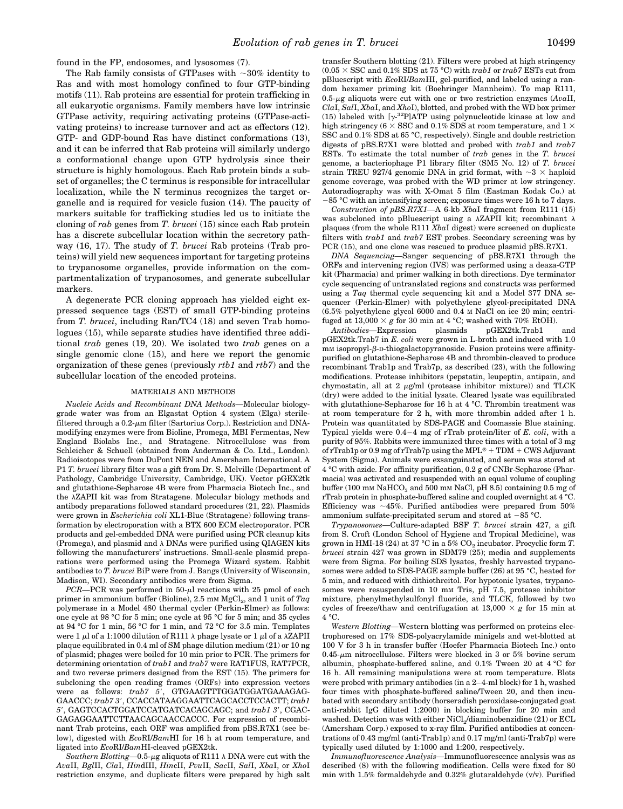found in the FP, endosomes, and lysosomes (7).

The Rab family consists of GTPases with  $\sim$ 30% identity to Ras and with most homology confined to four GTP-binding motifs (11). Rab proteins are essential for protein trafficking in all eukaryotic organisms. Family members have low intrinsic GTPase activity, requiring activating proteins (GTPase-activating proteins) to increase turnover and act as effectors (12). GTP- and GDP-bound Ras have distinct conformations (13), and it can be inferred that Rab proteins will similarly undergo a conformational change upon GTP hydrolysis since their structure is highly homologous. Each Rab protein binds a subset of organelles; the C terminus is responsible for intracellular localization, while the N terminus recognizes the target organelle and is required for vesicle fusion (14). The paucity of markers suitable for trafficking studies led us to initiate the cloning of *rab* genes from *T. brucei* (15) since each Rab protein has a discrete subcellular location within the secretory pathway (16, 17). The study of *T. brucei* Rab proteins (Trab proteins) will yield new sequences important for targeting proteins to trypanosome organelles, provide information on the compartmentalization of trypanosomes, and generate subcellular markers.

A degenerate PCR cloning approach has yielded eight expressed sequence tags (EST) of small GTP-binding proteins from *T. brucei*, including Ran/TC4 (18) and seven Trab homologues (15), while separate studies have identified three additional *trab* genes (19, 20). We isolated two *trab* genes on a single genomic clone (15), and here we report the genomic organization of these genes (previously *rtb1* and *rtb7*) and the subcellular location of the encoded proteins.

#### MATERIALS AND METHODS

*Nucleic Acids and Recombinant DNA Methods—*Molecular biologygrade water was from an Elgastat Option 4 system (Elga) sterilefiltered through a  $0.2$ - $\mu$ m filter (Sartorius Corp.). Restriction and DNAmodifying enzymes were from Bioline, Promega, MBI Fermentas, New England Biolabs Inc., and Stratagene. Nitrocellulose was from Schleicher & Schuell (obtained from Anderman & Co. Ltd., London). Radioisotopes were from DuPont NEN and Amersham International. A P1 *T. brucei* library filter was a gift from Dr. S. Melville (Department of Pathology, Cambridge University, Cambridge, UK). Vector pGEX2tk and glutathione-Sepharose 4B were from Pharmacia Biotech Inc., and the  $\lambda$ ZAPII kit was from Stratagene. Molecular biology methods and antibody preparations followed standard procedures (21, 22). Plasmids were grown in *Escherichia coli* XL1-Blue (Stratagene) following transformation by electroporation with a BTX 600 ECM electroporator. PCR products and gel-embedded DNA were purified using PCR cleanup kits (Promega), and plasmid and  $\lambda$  DNAs were purified using QIAGEN kits following the manufacturers' instructions. Small-scale plasmid preparations were performed using the Promega Wizard system. Rabbit antibodies to *T. brucei* BiP were from J. Bangs (University of Wisconsin, Madison, WI). Secondary antibodies were from Sigma.

 $PCR$ —PCR was performed in  $50$ - $\mu$ l reactions with 25 pmol of each primer in ammonium buffer (Bioline),  $2.5 \text{ mm } \text{MgCl}_2$ , and 1 unit of  $Taq$ polymerase in a Model 480 thermal cycler (Perkin-Elmer) as follows: one cycle at 98 °C for 5 min; one cycle at 95 °C for 5 min; and 35 cycles at 94 °C for 1 min, 56 °C for 1 min, and 72 °C for 3.5 min. Templates were 1  $\mu$ l of a 1:1000 dilution of R111  $\lambda$  phage lysate or 1  $\mu$ l of a  $\lambda$ ZAPII plaque equilibrated in 0.4 ml of SM phage dilution medium (21) or 10 ng of plasmid; phages were boiled for 10 min prior to PCR. The primers for determining orientation of *trab1* and *trab7* were RAT1FUS, RAT7PCR, and two reverse primers designed from the EST (15). The primers for subcloning the open reading frames (ORFs) into expression vectors were as follows: *trab7 5'*, GTGAAGTTTGGATGGATGAAAGAG-GAACCC; *trab7 3'*, CCACCATAAGGAATTCAGCACCTCCACTT; *trab1 5*9, GAGTCCACTGGATCCATGATCACAGCAGC; and *trab1 3*9, CGAC-GAGAGGAATTCTTAACAGCAACCACCC. For expression of recombinant Trab proteins, each ORF was amplified from pBS.R7X1 (see below), digested with *Eco*RI/*Bam*HI for 16 h at room temperature, and ligated into *Eco*RI/*Bam*HI-cleaved pGEX2tk.

Southern Blotting-0.5-µg aliquots of R111  $\lambda$  DNA were cut with the *Ava*II, *Bgl*II, *Cla*I, *Hin*dIII, *Hin*cII, *Pvu*II, *Sac*II, *Sal*I, *Xba*I, or *Xho*I restriction enzyme, and duplicate filters were prepared by high salt transfer Southern blotting (21). Filters were probed at high stringency  $(0.05 \times \text{SSC} \text{ and } 0.1\% \text{ SDS at } 75 \text{ °C})$  with *trab1* or *trab7* ESTs cut from pBluescript with *Eco*RI/*Bam*HI, gel-purified, and labeled using a random hexamer priming kit (Boehringer Mannheim). To map R111,  $0.5$ - $\mu$ g aliquots were cut with one or two restriction enzymes ( $Ava$ II, *Cla*I, *Sal*I, *Xba*I, and *Xho*I), blotted, and probed with the WD box primer (15) labeled with  $[\gamma^{32}P]ATP$  using polynucleotide kinase at low and high stringency (6  $\times$  SSC and 0.1% SDS at room temperature, and 1  $\times$ SSC and 0.1% SDS at 65 °C, respectively). Single and double restriction digests of pBS.R7X1 were blotted and probed with *trab1* and *trab7* ESTs. To estimate the total number of *trab* genes in the *T. brucei* genome, a bacteriophage P1 library filter (SM5 No. 12) of *T. brucei* strain TREU 927/4 genomic DNA in grid format, with  $\sim$ 3  $\times$  haploid genome coverage, was probed with the WD primer at low stringency. Autoradiography was with X-Omat 5 film (Eastman Kodak Co.) at  $-85$  °C with an intensifying screen; exposure times were 16 h to 7 days.

*Construction of pBS.R7X1—*A 6-kb *Xba*I fragment from R111 (15) was subcloned into pBluescript using a  $\lambda$ ZAPII kit; recombinant  $\lambda$ plaques (from the whole R111 *Xba*I digest) were screened on duplicate filters with *trab1* and *trab7* EST probes. Secondary screening was by PCR (15), and one clone was rescued to produce plasmid pBS.R7X1.

*DNA Sequencing—*Sanger sequencing of pBS.R7X1 through the ORFs and intervening region (IVS) was performed using a deaza-GTP kit (Pharmacia) and primer walking in both directions. Dye terminator cycle sequencing of untranslated regions and constructs was performed using a *Taq* thermal cycle sequencing kit and a Model 377 DNA sequencer (Perkin-Elmer) with polyethylene glycol-precipitated DNA (6.5% polyethylene glycol 6000 and 0.4 M NaCl on ice 20 min; centrifuged at  $13,000 \times g$  for 30 min at 4 °C; washed with 70% EtOH).

*Antibodies—*Expression plasmids pGEX2tk.Trab1 and pGEX2tk.Trab7 in *E. coli* were grown in L-broth and induced with 1.0 mM isopropyl-*B*-D-thiogalactopyranoside. Fusion proteins were affinitypurified on glutathione-Sepharose 4B and thrombin-cleaved to produce recombinant Trab1p and Trab7p, as described (23), with the following modifications. Protease inhibitors (pepstatin, leupeptin, antipain, and chymostatin, all at 2  $\mu$ g/ml (protease inhibitor mixture)) and TLCK (dry) were added to the initial lysate. Cleared lysate was equilibrated with glutathione-Sepharose for 16 h at 4 °C. Thrombin treatment was at room temperature for 2 h, with more thrombin added after 1 h. Protein was quantitated by SDS-PAGE and Coomassie Blue staining. Typical yields were 0.4–4 mg of rTrab protein/liter of *E. coli*, with a purity of 95%. Rabbits were immunized three times with a total of 3 mg of rTrab1p or 0.9 mg of rTrab7p using the MPL<sup>®</sup> + TDM + CWS Adjuvant System (Sigma). Animals were exsanguinated, and serum was stored at 4 °C with azide. For affinity purification, 0.2 g of CNBr-Sepharose (Pharmacia) was activated and resuspended with an equal volume of coupling buffer (100 mM  $NAHCO<sub>3</sub>$  and 500 mM NaCl, pH 8.5) containing 0.5 mg of rTrab protein in phosphate-buffered saline and coupled overnight at 4 °C. Efficiency was  $\sim$ 45%. Purified antibodies were prepared from 50% ammonium sulfate-precipitated serum and stored at  $-85$  °C.

*Trypanosomes—*Culture-adapted BSF *T. brucei* strain 427, a gift from S. Croft (London School of Hygiene and Tropical Medicine), was grown in HMI-18 (24) at 37 °C in a  $5\%$  CO<sub>2</sub> incubator. Procyclic form *T*. *brucei* strain 427 was grown in SDM79 (25); media and supplements were from Sigma. For boiling SDS lysates, freshly harvested trypanosomes were added to SDS-PAGE sample buffer (26) at 95 °C, heated for 5 min, and reduced with dithiothreitol. For hypotonic lysates, trypanosomes were resuspended in 10 mM Tris, pH 7.5, protease inhibitor mixture, phenylmethylsulfonyl fluoride, and TLCK, followed by two cycles of freeze/thaw and centrifugation at  $13,000 \times g$  for 15 min at  $4 °C$ .

*Western Blotting—*Western blotting was performed on proteins electrophoresed on 17% SDS-polyacrylamide minigels and wet-blotted at 100 V for 3 h in transfer buffer (Hoefer Pharmacia Biotech Inc.) onto  $0.45$ - $\mu$ m nitrocellulose. Filters were blocked in 3 or 5% bovine serum albumin, phosphate-buffered saline, and 0.1% Tween 20 at 4 °C for 16 h. All remaining manipulations were at room temperature. Blots were probed with primary antibodies (in a 2–4-ml block) for 1 h, washed four times with phosphate-buffered saline/Tween 20, and then incubated with secondary antibody (horseradish peroxidase-conjugated goat anti-rabbit IgG diluted 1:2000) in blocking buffer for 20 min and washed. Detection was with either NiCl<sub>2</sub>/diaminobenzidine (21) or ECL (Amersham Corp.) exposed to x-ray film. Purified antibodies at concentrations of 0.43 mg/ml (anti-Trab1p) and 0.17 mg/ml (anti-Trab7p) were typically used diluted by 1:1000 and 1:200, respectively.

*Immunofluorescence Analysis—*Immunofluorescence analysis was as described (8) with the following modification. Cells were fixed for 80 min with 1.5% formaldehyde and 0.32% glutaraldehyde (v/v). Purified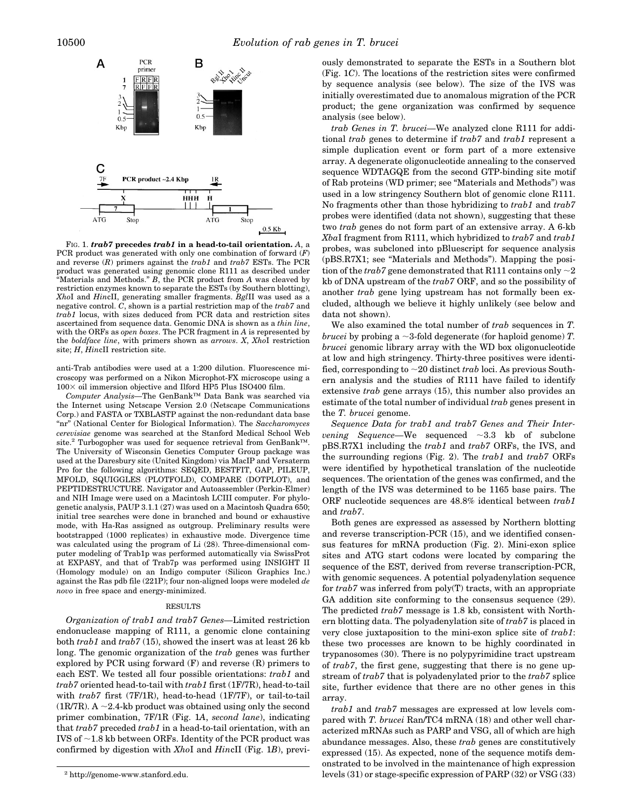

FIG. 1. *trab7* **precedes** *trab1* **in a head-to-tail orientation.** *A*, a PCR product was generated with only one combination of forward (*F*) and reverse (*R*) primers against the *trab1* and *trab7* ESTs. The PCR product was generated using genomic clone R111 as described under "Materials and Methods." *B*, the PCR product from *A* was cleaved by restriction enzymes known to separate the ESTs (by Southern blotting), *Xho*I and *Hin*cII, generating smaller fragments. *Bgl*II was used as a negative control. *C*, shown is a partial restriction map of the *trab7* and *trab1* locus, with sizes deduced from PCR data and restriction sites ascertained from sequence data. Genomic DNA is shown as a *thin line*, with the ORFs as *open boxes*. The PCR fragment in *A* is represented by the *boldface line*, with primers shown as *arrows*. *X*, *Xho*I restriction site; *H*, *Hin*cII restriction site.

anti-Trab antibodies were used at a 1:200 dilution. Fluorescence microscopy was performed on a Nikon Microphot-FX microscope using a  $100\times$  oil immersion objective and Ilford HP5 Plus ISO400 film.

*Computer Analysis—*The GenBank™ Data Bank was searched via the Internet using Netscape Version 2.0 (Netscape Communications Corp.) and FASTA or TXBLASTP against the non-redundant data base "nr" (National Center for Biological Information). The *Saccharomyces cerevisiae* genome was searched at the Stanford Medical School Web site.<sup>2</sup> Turbogopher was used for sequence retrieval from GenBank<sup>™</sup>. The University of Wisconsin Genetics Computer Group package was used at the Daresbury site (United Kingdom) via MacIP and Versaterm Pro for the following algorithms: SEQED, BESTFIT, GAP, PILEUP, MFOLD, SQUIGGLES (PLOTFOLD), COMPARE (DOTPLOT), and PEPTIDESTRUCTURE. Navigator and Autoassembler (Perkin-Elmer) and NIH Image were used on a Macintosh LCIII computer. For phylogenetic analysis, PAUP 3.1.1 (27) was used on a Macintosh Quadra 650; initial tree searches were done in branched and bound or exhaustive mode, with Ha-Ras assigned as outgroup. Preliminary results were bootstrapped (1000 replicates) in exhaustive mode. Divergence time was calculated using the program of Li (28). Three-dimensional computer modeling of Trab1p was performed automatically via SwissProt at EXPASY, and that of Trab7p was performed using INSIGHT II (Homology module) on an Indigo computer (Silicon Graphics Inc.) against the Ras pdb file (221P); four non-aligned loops were modeled *de novo* in free space and energy-minimized.

### RESULTS

*Organization of trab1 and trab7 Genes—*Limited restriction endonuclease mapping of R111, a genomic clone containing both *trab1* and *trab7* (15), showed the insert was at least 26 kb long. The genomic organization of the *trab* genes was further explored by PCR using forward (F) and reverse (R) primers to each EST. We tested all four possible orientations: *trab1* and *trab7* oriented head-to-tail with *trab1* first (1F/7R), head-to-tail with *trab7* first (7F/1R), head-to-head (1F/7F), or tail-to-tail (1R/7R). A  $\sim$ 2.4-kb product was obtained using only the second primer combination, 7F/1R (Fig. 1*A*, *second lane*), indicating that *trab7* preceded *trab1* in a head-to-tail orientation, with an IVS of  $\sim$ 1.8 kb between ORFs. Identity of the PCR product was confirmed by digestion with *Xho*I and *Hin*cII (Fig. 1*B*), previously demonstrated to separate the ESTs in a Southern blot (Fig. 1*C*). The locations of the restriction sites were confirmed by sequence analysis (see below). The size of the IVS was initially overestimated due to anomalous migration of the PCR product; the gene organization was confirmed by sequence analysis (see below).

*trab Genes in T. brucei—*We analyzed clone R111 for additional *trab* genes to determine if *trab7* and *trab1* represent a simple duplication event or form part of a more extensive array. A degenerate oligonucleotide annealing to the conserved sequence WDTAGQE from the second GTP-binding site motif of Rab proteins (WD primer; see "Materials and Methods") was used in a low stringency Southern blot of genomic clone R111. No fragments other than those hybridizing to *trab1* and *trab7* probes were identified (data not shown), suggesting that these two *trab* genes do not form part of an extensive array. A 6-kb *Xba*I fragment from R111, which hybridized to *trab7* and *trab1* probes, was subcloned into pBluescript for sequence analysis (pBS.R7X1; see "Materials and Methods"). Mapping the position of the *trab*7 gene demonstrated that R111 contains only  $\sim$ 2 kb of DNA upstream of the *trab7* ORF, and so the possibility of another *trab* gene lying upstream has not formally been excluded, although we believe it highly unlikely (see below and data not shown).

We also examined the total number of *trab* sequences in *T. brucei* by probing a  $\sim$ 3-fold degenerate (for haploid genome) *T*. *brucei* genomic library array with the WD box oligonucleotide at low and high stringency. Thirty-three positives were identified, corresponding to  $\sim$  20 distinct *trab* loci. As previous Southern analysis and the studies of R111 have failed to identify extensive *trab* gene arrays (15), this number also provides an estimate of the total number of individual *trab* genes present in the *T. brucei* genome.

*Sequence Data for trab1 and trab7 Genes and Their Intervening Sequence*—We sequenced  $\sim$ 3.3 kb of subclone pBS.R7X1 including the *trab1* and *trab7* ORFs, the IVS, and the surrounding regions (Fig. 2). The *trab1* and *trab7* ORFs were identified by hypothetical translation of the nucleotide sequences. The orientation of the genes was confirmed, and the length of the IVS was determined to be 1165 base pairs. The ORF nucleotide sequences are 48.8% identical between *trab1* and *trab7*.

Both genes are expressed as assessed by Northern blotting and reverse transcription-PCR (15), and we identified consensus features for mRNA production (Fig. 2). Mini-exon splice sites and ATG start codons were located by comparing the sequence of the EST, derived from reverse transcription-PCR, with genomic sequences. A potential polyadenylation sequence for *trab7* was inferred from poly(T) tracts, with an appropriate GA addition site conforming to the consensus sequence (29). The predicted *trab7* message is 1.8 kb, consistent with Northern blotting data. The polyadenylation site of *trab7* is placed in very close juxtaposition to the mini-exon splice site of *trab1*: these two processes are known to be highly coordinated in trypanosomes (30). There is no polypyrimidine tract upstream of *trab7*, the first gene, suggesting that there is no gene upstream of *trab7* that is polyadenylated prior to the *trab7* splice site, further evidence that there are no other genes in this array.

*trab1* and *trab7* messages are expressed at low levels compared with *T. brucei* Ran/TC4 mRNA (18) and other well characterized mRNAs such as PARP and VSG, all of which are high abundance messages. Also, these *trab* genes are constitutively expressed (15). As expected, none of the sequence motifs demonstrated to be involved in the maintenance of high expression <sup>2</sup> http://genome-www.stanford.edu. <br>
levels (31) or stage-specific expression of PARP (32) or VSG (33)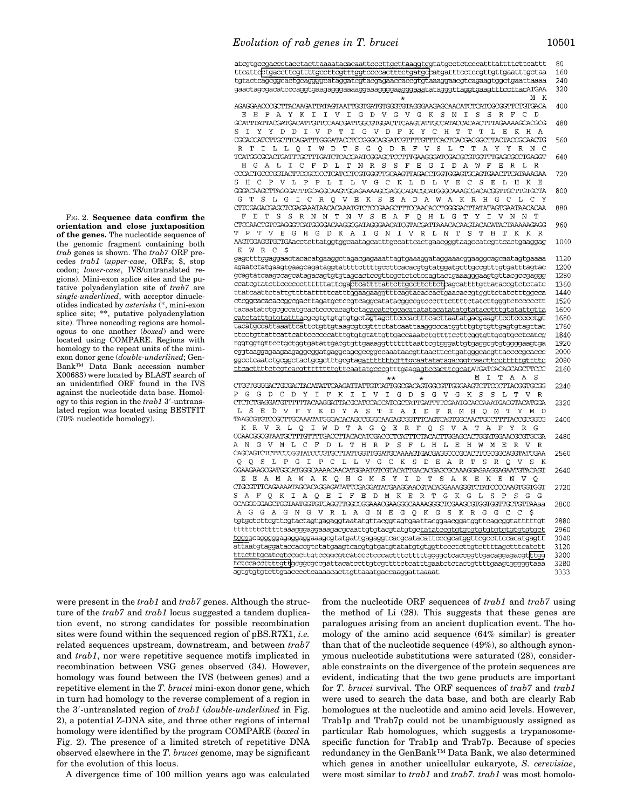|                                                                                                                         | 80   |
|-------------------------------------------------------------------------------------------------------------------------|------|
| ttcattcbtgacettegttttgeettegtttggteeceaetttetgatgebatgattteeteegttgttgaatttgetaa                                        | 160  |
| tgtactcagcggcactgcaggggcataggatcgtacgagaaccaccgtgtaaaggaacgtcagaagtggctgaattaaaa                                        | 240  |
|                                                                                                                         |      |
|                                                                                                                         | 320  |
| М<br>К<br>÷                                                                                                             |      |
| AGAGGAACCCGCTTACAAGATTATAGTAATTGGTGATGTGGGTGTAGGGAAGAGCAACATCTCATCGCGGTTCTGTGACA                                        | 400  |
| E P A Y K I I V I G D V G V G K S N I S<br>-S<br>$\mathbb{R}$<br>F C<br>Е<br>- ന                                        |      |
| GCATTTATTACGATGACATTGTTCCAACGATTGGCGTGGACTTCAAGTATTGCCATACCACAACTTTAGAAAAGCACGCG                                        | 480  |
| S<br>$\mathbf{T}$<br>Y<br>Y<br>D D<br>T.<br>V<br>P T<br>I G V D F K Y C H T T<br>T<br>L<br>Е<br>K<br>H<br>A             |      |
|                                                                                                                         |      |
|                                                                                                                         | 560  |
| R T<br>T<br>L L Q I W D T S G Q D R F V S L T T A Y Y R N C                                                             |      |
| TCATGGCGCACTGATTTGCTTTGATCTCACCAATCGGAGCTCCTTTGAAGGGATCGACGCGTGGTTTGAGCGCCTGAGGT                                        | 640  |
| H G<br>A L<br>I C<br>$\mathbf{F}$<br>D L T N R S S F E G I<br>D A W F<br>Е<br>R<br>L                                    |      |
| CCCACTGCCCGGTACTTCCGCCCCTCATCCTCGTGGGTTGCAAGTTAGACCTGGTGGAGTGCAGTGAACTTCATAAAGAA                                        | 720  |
| S H C P V L P P L I L V G C K L D L V E C S E<br>L H K                                                                  |      |
|                                                                                                                         |      |
| GGGACAAGCTTAGGGATTTGCAGGCAAGTGGAGAAAAGCGAGGCAGACGCATGGGCAAAGCGACACGGTTGCTTGTGCTA                                        | 800  |
| C R Q V E K S E A D A W A K R H G<br>G<br>T<br>S<br>L<br>G<br>I<br>C.<br>L<br>C<br>Υ                                    |      |
| CTTCGAGACGAGCTCGAGAAATAACACAAATGTCTCCGAAGCTTTCCAACACCTGGGGACTTATATAGTGAATAACACAA                                        | 880  |
| R N N<br>F<br>Е<br>т<br>S<br>S<br>T N V S E A F O H L G T Y<br>I<br>V<br>$_{\rm N}$<br>N                                |      |
| CTCCAACTGTCGAGGGTCATGGGGACAAGGCGATAGGGAACATCGTACGATTAAACACAAGTACACATACTAAAAAGAGG                                        | 960  |
| T<br>T V E G H G D K A I G N I V R L N T S T H T K<br>P<br>K                                                            |      |
|                                                                                                                         |      |
| AAGTGGAGGTGCTGAacctcttatggtggcaatagcatttgccattcactgaacgggtaagccatcgttcactgaaggag                                        | 1040 |
| K W R C<br>\$                                                                                                           |      |
| gagetttggaggaactacacatgaaggetagacgagaaattagtgaaaggataggaaacggaaggcagcaatagtgaaaa                                        | 1120 |
| agaatetatgaagtgaageagataggtattttettttgeetteaeaegtgtatggatgettgeegtttgtgatttagtae                                        | 1200 |
| gcagtatcaagccagcatagacagtgtgtagcactccgttcgctctctccagtactgaaagggaagtgttacgccgaggg                                        | 1280 |
| ccatcgtatcttccccccttttttattcgactcattttattcttgccttcttctcagcattttgttataccgtctctatc                                        | 1360 |
|                                                                                                                         | 1440 |
| ttatcaattctattgttttatttttcatttggaagaaggtttcagtacaccactgaacaccgtggttctatctttggcca                                        |      |
|                                                                                                                         | 1520 |
| tacaatatetgegeeatgeacteeceacagtetacacatetgeacatatatacatatatgtatacetttgtatattgtta                                        | 1600 |
| catctatttgtgtattttacgcgtgtgtgtgtgtgctagtagcttcccactttcacttaatatgacgaagttcctccccctgt                                     | 1680 |
| tacatgccattaaattcattctgttgtaagcgtcgtttctatcaattaaggcccatggtttgtgtgttgagtgtagttat                                        | 1760 |
| ttcctgttattcattcattccccccatttgtgtgtattgttgaccaaatctgttttccttcggtgttgcgtgcctcatcg                                        | 1840 |
| tggtggtgttcctgctggtgatattgacgtgttgaaaggtttttttaattcgtgggattgtgaggcgtgtggggaagtga                                        | 1920 |
|                                                                                                                         | 2000 |
| cggtaaggagaagaagaggcggatgaggcagcgccggccaaataacgttaacttcctgatgggcacgttaccccgcaccc                                        |      |
| ggcotcaatctgcggctactgcgctttgcgtag <u>attttttttcttgcaatatatagacqqtcaacttccttttttgttttc</u>                               | 2080 |
| ttcacttttctcgtcacqtttttttttqttcaatatqcccgtttgaagaqtccacttcqcatATGATCACAGCAGCTTCCC                                       | 2160 |
| M I<br>T A<br>A<br>S<br>$***$<br>$\star$                                                                                |      |
| CTGGTGGGGACTGCGACTACATATTCAAGATTATTGTCATTGGCGACAGTGGCGTTGGGAAGTCTTCCCTTACGGTGCGG                                        | 2240 |
| P G<br>G D C D Y I F<br>I V I G D S G V G K S S<br>K I<br>$\mathbb{L}$<br>T<br>V<br>R                                   |      |
| CTCTCTGAGGATGITTTTTACAAGGATTACGCATCCACCATCGCTATTGATTTTCGAATGCACCAAATGACGTACATGGA                                        | 2320 |
| т.<br>-S<br>E D<br>V<br>$\mathbf{F}$<br>Y<br>K D<br>Y A S T I A I D F R M H O M<br>$\mathbf{T}$<br>D<br>Υ<br>м          |      |
|                                                                                                                         | 2400 |
|                                                                                                                         |      |
| WDTAGQERFQSVATAF<br>ĸ<br>R<br>VRLO<br>I<br>Y<br>R<br>G                                                                  |      |
|                                                                                                                         | 2480 |
| G V M L C F D L T H R P S F<br>ΑN<br>L H L E H W M E<br>R V<br>R                                                        |      |
| CAGCAGTCTCTTCCCGGTATCCCGTGCTTATTGGTTQGATGCAAAAGTGACGAGGCCCGCACTTCGCGGCAGGTATCGAA                                        | 2560 |
| Q Q S L P G I P C L L V G C K S D E A R T S R Q V S<br>Κ                                                                |      |
| GGAAGAAGCGATGGCATGGGCAAAACAACATGGAATGTCGTACATTGACACGAGCGCAAAGGAGAAGGAGATGTACAGT                                         | 2640 |
| Ε<br>Е<br>A M A<br>WAKQHGMSYIDTSAKEKEN<br>$\mathbf{V}$<br>- 0                                                           |      |
|                                                                                                                         |      |
| CTGCGITTCAGAAAATAGCACAGAGATATTCGAGGATATGAAGGAACGTACAGGAAAGGGTCTATCCCCAAGTGGTGGT                                         | 2720 |
| S<br>A<br>F O K<br>I<br>A O<br>$\mathbf E$<br>$\mathbf I$<br>$\mathbf F$<br>E D M K E R T G K G L<br>S P<br>S<br>G<br>G |      |
|                                                                                                                         | 280C |
| G A G N G V R L A G N E G Q K G S K R G G C C<br>AG.<br>- \$                                                            |      |
| tgtgctcttcgttcgtactagtgagaggtaatatgttacggtagtgaattacggaacggatggttcagcggtatttttgt                                        | 2880 |
|                                                                                                                         | 2960 |
|                                                                                                                         |      |
| tggggcagggggagaggaggaaagcgtatgattgagaggtcacgcatacattcccgcatggttcgccttccacatgagtt                                        | 3040 |
| attaatgtaggataccaccgtctatgaagtcacgtgtgatgtatatgtgtggttccctcttgtcttttagctttcatctt                                        | 3120 |
| tttetttgeategteegettgteeggegteateeeteecaetttetttttggggeteaeeggttgaeaggagaegtttgg                                        | 3200 |
| tetecacettttgttgeggggegattacateettgtegtttteteatttgaatetetaetgttttgaagtgggggtaaa                                         | 3280 |
| agtgtgtgtcttgaacccctcaaaacacttgttaaatgaccaaggattaaaat                                                                   | 3333 |
|                                                                                                                         |      |

FIG. 2. **Sequence data confirm the orientation and close juxtaposition of the genes.** The nucleotide sequence of the genomic fragment containing both *trab* genes is shown. The *trab7* ORF precedes *trab1* (*upper-case*, ORFs; \$, stop codon; *lower-case*, IVS/untranslated regions). Mini-exon splice sites and the putative polyadenylation site of *trab7* are *single-underlined*, with acceptor dinucleotides indicated by *asterisks* (\*, mini-exon splice site; \*\*, putative polyadenylation site). Three noncoding regions are homologous to one another (*boxed*) and were located using COMPARE. Regions with homology to the repeat units of the miniexon donor gene (*double-underlined*; Gen-Bank™ Data Bank accession number X00683) were located by BLAST search of an unidentified ORF found in the IVS against the nucleotide data base. Homology to this region in the  $trab1$  3'-untranslated region was located using BESTFIT (70% nucleotide homology).

were present in the *trab1* and *trab7* genes. Although the structure of the *trab7* and *trab1* locus suggested a tandem duplication event, no strong candidates for possible recombination sites were found within the sequenced region of pBS.R7X1, *i.e.* related sequences upstream, downstream, and between *trab7* and *trab1*, nor were repetitive sequence motifs implicated in recombination between VSG genes observed (34). However, homology was found between the IVS (between genes) and a repetitive element in the *T. brucei* mini-exon donor gene, which in turn had homology to the reverse complement of a region in the 3'-untranslated region of *trab1* (*double-underlined* in Fig. 2), a potential Z-DNA site, and three other regions of internal homology were identified by the program COMPARE (*boxed* in Fig. 2). The presence of a limited stretch of repetitive DNA observed elsewhere in the *T. brucei* genome, may be significant for the evolution of this locus.

A divergence time of 100 million years ago was calculated

from the nucleotide ORF sequences of *trab1* and *trab7* using the method of Li (28). This suggests that these genes are paralogues arising from an ancient duplication event. The homology of the amino acid sequence (64% similar) is greater than that of the nucleotide sequence (49%), so although synonymous nucleotide substitutions were saturated (28), considerable constraints on the divergence of the protein sequences are evident, indicating that the two gene products are important for *T. brucei* survival. The ORF sequences of *trab7* and *trab1* were used to search the data base, and both are clearly Rab homologues at the nucleotide and amino acid levels. However, Trab1p and Trab7p could not be unambiguously assigned as particular Rab homologues, which suggests a trypanosomespecific function for Trab1p and Trab7p. Because of species redundancy in the GenBank™ Data Bank, we also determined which genes in another unicellular eukaryote, *S. cerevisiae*, were most similar to *trab1* and *trab7. trab1* was most homolo-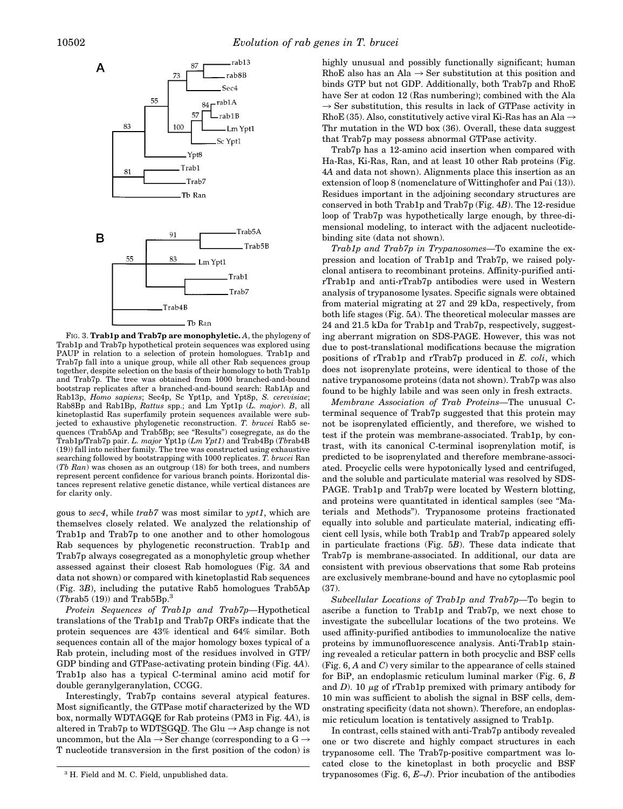

FIG. 3. **Trab1p and Trab7p are monophyletic.** *A*, the phylogeny of Trab1p and Trab7p hypothetical protein sequences was explored using PAUP in relation to a selection of protein homologues. Trab1p and Trab7p fall into a unique group, while all other Rab sequences group together, despite selection on the basis of their homology to both Trab1p and Trab7p. The tree was obtained from 1000 branched-and-bound bootstrap replicates after a branched-and-bound search: Rab1Ap and Rab13p, *Homo sapiens*; Sec4p, Sc Ypt1p, and Ypt8p, *S. cerevisiae*; Rab8Bp and Rab1Bp, *Rattus* spp.; and Lm Ypt1p (*L. major*). *B*, all kinetoplastid Ras superfamily protein sequences available were subjected to exhaustive phylogenetic reconstruction. *T. brucei* Rab5 sequences (Trab5Ap and Trab5Bp; see "Results") cosegregate, as do the Trab1p/Trab7p pair. *L. major* Ypt1p (*Lm Ypt1*) and Trab4Bp (*Tb*rab4B (19)) fall into neither family. The tree was constructed using exhaustive searching followed by bootstrapping with 1000 replicates. *T. brucei* Ran (*Tb Ran*) was chosen as an outgroup (18) for both trees, and numbers represent percent confidence for various branch points. Horizontal distances represent relative genetic distance, while vertical distances are for clarity only.

gous to *sec4*, while *trab7* was most similar to *ypt1*, which are themselves closely related. We analyzed the relationship of Trab1p and Trab7p to one another and to other homologous Rab sequences by phylogenetic reconstruction. Trab1p and Trab7p always cosegregated as a monophyletic group whether assessed against their closest Rab homologues (Fig. 3*A* and data not shown) or compared with kinetoplastid Rab sequences (Fig. 3*B*), including the putative Rab5 homologues Trab5Ap  $(Tb$ rab $5(19)$ ) and Trab $5Bp$ <sup>3</sup>

*Protein Sequences of Trab1p and Trab7p—*Hypothetical translations of the Trab1p and Trab7p ORFs indicate that the protein sequences are 43% identical and 64% similar. Both sequences contain all of the major homology boxes typical of a Rab protein, including most of the residues involved in GTP/ GDP binding and GTPase-activating protein binding (Fig. 4*A*). Trab1p also has a typical C-terminal amino acid motif for double geranylgeranylation, CCGG.

Interestingly, Trab7p contains several atypical features. Most significantly, the GTPase motif characterized by the WD box, normally WDTAGQE for Rab proteins (PM3 in Fig. 4*A*), is altered in Trab7p to WDTSGQD. The Glu  $\rightarrow$  Asp change is not uncommon, but the Ala  $\rightarrow$  Ser change (corresponding to a G  $\rightarrow$ T nucleotide transversion in the first position of the codon) is

highly unusual and possibly functionally significant; human RhoE also has an Ala  $\rightarrow$  Ser substitution at this position and binds GTP but not GDP. Additionally, both Trab7p and RhoE have Ser at codon 12 (Ras numbering); combined with the Ala  $\rightarrow$  Ser substitution, this results in lack of GTPase activity in RhoE (35). Also, constitutively active viral Ki-Ras has an Ala  $\rightarrow$ Thr mutation in the WD box (36). Overall, these data suggest that Trab7p may possess abnormal GTPase activity.

Trab7p has a 12-amino acid insertion when compared with Ha-Ras, Ki-Ras, Ran, and at least 10 other Rab proteins (Fig. 4*A* and data not shown). Alignments place this insertion as an extension of loop 8 (nomenclature of Wittinghofer and Pai (13)). Residues important in the adjoining secondary structures are conserved in both Trab1p and Trab7p (Fig. 4*B*). The 12-residue loop of Trab7p was hypothetically large enough, by three-dimensional modeling, to interact with the adjacent nucleotidebinding site (data not shown).

*Trab1p and Trab7p in Trypanosomes—*To examine the expression and location of Trab1p and Trab7p, we raised polyclonal antisera to recombinant proteins. Affinity-purified antirTrab1p and anti-rTrab7p antibodies were used in Western analysis of trypanosome lysates. Specific signals were obtained from material migrating at 27 and 29 kDa, respectively, from both life stages (Fig. 5*A*). The theoretical molecular masses are 24 and 21.5 kDa for Trab1p and Trab7p, respectively, suggesting aberrant migration on SDS-PAGE. However, this was not due to post-translational modifications because the migration positions of rTrab1p and rTrab7p produced in *E. coli*, which does not isoprenylate proteins, were identical to those of the native trypanosome proteins (data not shown). Trab7p was also found to be highly labile and was seen only in fresh extracts.

*Membrane Association of Trab Proteins—*The unusual Cterminal sequence of Trab7p suggested that this protein may not be isoprenylated efficiently, and therefore, we wished to test if the protein was membrane-associated. Trab1p, by contrast, with its canonical C-terminal isoprenylation motif, is predicted to be isoprenylated and therefore membrane-associated. Procyclic cells were hypotonically lysed and centrifuged, and the soluble and particulate material was resolved by SDS-PAGE. Trab1p and Trab7p were located by Western blotting, and proteins were quantitated in identical samples (see "Materials and Methods"). Trypanosome proteins fractionated equally into soluble and particulate material, indicating efficient cell lysis, while both Trab1p and Trab7p appeared solely in particulate fractions (Fig. 5*B*). These data indicate that Trab7p is membrane-associated. In additional, our data are consistent with previous observations that some Rab proteins are exclusively membrane-bound and have no cytoplasmic pool (37).

*Subcellular Locations of Trab1p and Trab7p—*To begin to ascribe a function to Trab1p and Trab7p, we next chose to investigate the subcellular locations of the two proteins. We used affinity-purified antibodies to immunolocalize the native proteins by immunofluorescence analysis. Anti-Trab1p staining revealed a reticular pattern in both procyclic and BSF cells (Fig. 6, *A* and *C*) very similar to the appearance of cells stained for BiP, an endoplasmic reticulum luminal marker (Fig. 6, *B* and  $D$ ). 10  $\mu$ g of rTrab1p premixed with primary antibody for 10 min was sufficient to abolish the signal in BSF cells, demonstrating specificity (data not shown). Therefore, an endoplasmic reticulum location is tentatively assigned to Trab1p.

In contrast, cells stained with anti-Trab7p antibody revealed one or two discrete and highly compact structures in each trypanosome cell. The Trab7p-positive compartment was located close to the kinetoplast in both procyclic and BSF <sup>3</sup> H. Field and M. C. Field, unpublished data. The Strippenosomes (Fig. 6, *E–J*). Prior incubation of the antibodies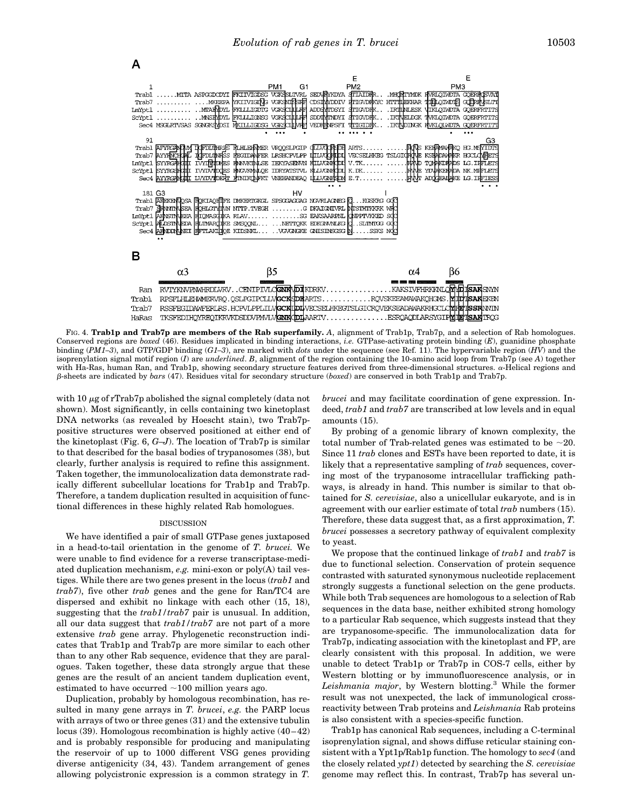

FIG. 4. **Trab1p and Trab7p are members of the Rab superfamily.** A, alignment of Trab1p, Trab7p, and a selection of Rab homologues. Conserved regions are *boxed* (46). Residues implicated in binding interactions, *i.e.* GTPase-activating protein binding (*E*), guanidine phosphate binding (*PM1–3*), and GTP/GDP binding (*G1–3*), are marked with *dots* under the sequence (see Ref. 11). The hypervariable region (*HV*) and the isoprenylation signal motif region (*I*) are *underlined*. *B*, alignment of the region containing the 10-amino acid loop from Trab7p (see *A*) together with Ha-Ras, human Ran, and Trab1p, showing secondary structure features derived from three-dimensional structures.  $\alpha$ -Helical regions and b-sheets are indicated by *bars* (47). Residues vital for secondary structure (*boxed*) are conserved in both Trab1p and Trab7p.

with 10  $\mu$ g of rTrab7p abolished the signal completely (data not shown). Most significantly, in cells containing two kinetoplast DNA networks (as revealed by Hoescht stain), two Trab7ppositive structures were observed positioned at either end of the kinetoplast (Fig. 6, *G–J*). The location of Trab7p is similar to that described for the basal bodies of trypanosomes (38), but clearly, further analysis is required to refine this assignment. Taken together, the immunolocalization data demonstrate radically different subcellular locations for Trab1p and Trab7p. Therefore, a tandem duplication resulted in acquisition of functional differences in these highly related Rab homologues.

#### DISCUSSION

We have identified a pair of small GTPase genes juxtaposed in a head-to-tail orientation in the genome of *T. brucei.* We were unable to find evidence for a reverse transcriptase-mediated duplication mechanism, *e.g.* mini-exon or poly(A) tail vestiges. While there are two genes present in the locus (*trab1* and *trab7*), five other *trab* genes and the gene for Ran/TC4 are dispersed and exhibit no linkage with each other (15, 18), suggesting that the *trab1/trab7* pair is unusual. In addition, all our data suggest that *trab1/trab7* are not part of a more extensive *trab* gene array. Phylogenetic reconstruction indicates that Trab1p and Trab7p are more similar to each other than to any other Rab sequence, evidence that they are paralogues. Taken together, these data strongly argue that these genes are the result of an ancient tandem duplication event, estimated to have occurred  $\sim$ 100 million years ago.

Duplication, probably by homologous recombination, has resulted in many gene arrays in *T. brucei*, *e.g.* the PARP locus with arrays of two or three genes (31) and the extensive tubulin locus (39). Homologous recombination is highly active (40–42) and is probably responsible for producing and manipulating the reservoir of up to 1000 different VSG genes providing diverse antigenicity (34, 43). Tandem arrangement of genes allowing polycistronic expression is a common strategy in *T.*

*brucei* and may facilitate coordination of gene expression. Indeed, *trab1* and *trab7* are transcribed at low levels and in equal amounts (15).

By probing of a genomic library of known complexity, the total number of Trab-related genes was estimated to be  $\sim$ 20. Since 11 *trab* clones and ESTs have been reported to date, it is likely that a representative sampling of *trab* sequences, covering most of the trypanosome intracellular trafficking pathways, is already in hand. This number is similar to that obtained for *S. cerevisiae*, also a unicellular eukaryote, and is in agreement with our earlier estimate of total *trab* numbers (15). Therefore, these data suggest that, as a first approximation, *T. brucei* possesses a secretory pathway of equivalent complexity to yeast.

We propose that the continued linkage of *trab1* and *trab7* is due to functional selection. Conservation of protein sequence contrasted with saturated synonymous nucleotide replacement strongly suggests a functional selection on the gene products. While both Trab sequences are homologous to a selection of Rab sequences in the data base, neither exhibited strong homology to a particular Rab sequence, which suggests instead that they are trypanosome-specific. The immunolocalization data for Trab7p, indicating association with the kinetoplast and FP, are clearly consistent with this proposal. In addition, we were unable to detect Trab1p or Trab7p in COS-7 cells, either by Western blotting or by immunofluorescence analysis, or in *Leishmania major*, by Western blotting.3 While the former result was not unexpected, the lack of immunological crossreactivity between Trab proteins and *Leishmania* Rab proteins is also consistent with a species-specific function.

Trab1p has canonical Rab sequences, including a C-terminal isoprenylation signal, and shows diffuse reticular staining consistent with a Ypt1p/Rab1p function. The homology to *sec4* (and the closely related *ypt1*) detected by searching the *S. cerevisiae* genome may reflect this. In contrast, Trab7p has several un-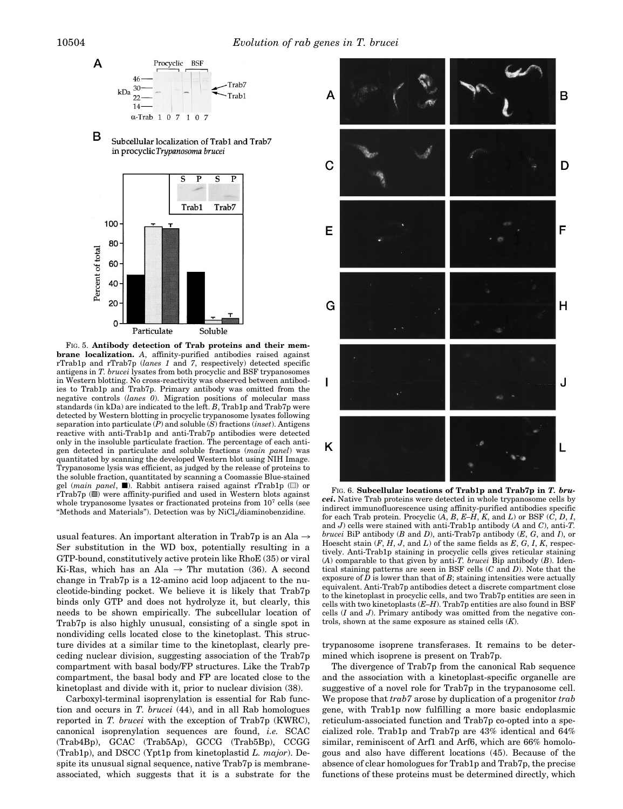





FIG. 5. **Antibody detection of Trab proteins and their membrane localization.** *A*, affinity-purified antibodies raised against rTrab1p and rTrab7p (*lanes 1* and *7*, respectively) detected specific antigens in *T. brucei* lysates from both procyclic and BSF trypanosomes in Western blotting. No cross-reactivity was observed between antibodies to Trab1p and Trab7p. Primary antibody was omitted from the negative controls (*lanes 0*). Migration positions of molecular mass standards (in kDa) are indicated to the left. *B*, Trab1p and Trab7p were detected by Western blotting in procyclic trypanosome lysates following separation into particulate (*P*) and soluble (*S*) fractions (*inset*). Antigens reactive with anti-Trab1p and anti-Trab7p antibodies were detected only in the insoluble particulate fraction. The percentage of each antigen detected in particulate and soluble fractions (*main panel*) was quantitated by scanning the developed Western blot using NIH Image. Trypanosome lysis was efficient, as judged by the release of proteins to the soluble fraction, quantitated by scanning a Coomassie Blue-stained gel (*main panel*,  $\blacksquare$ ). Rabbit antisera raised against rTrab1p ( $\blacksquare$ ) or rTrab7p ()) were affinity-purified and used in Western blots against whole trypanosome lysates or fractionated proteins from  $10<sup>7</sup>$  cells (see "Methods and Materials"). Detection was by NiCl<sub>2</sub>/diaminobenzidine.

usual features. An important alteration in Trab7p is an Ala  $\rightarrow$ Ser substitution in the WD box, potentially resulting in a GTP-bound, constitutively active protein like RhoE (35) or viral Ki-Ras, which has an Ala  $\rightarrow$  Thr mutation (36). A second change in Trab7p is a 12-amino acid loop adjacent to the nucleotide-binding pocket. We believe it is likely that Trab7p binds only GTP and does not hydrolyze it, but clearly, this needs to be shown empirically. The subcellular location of Trab7p is also highly unusual, consisting of a single spot in nondividing cells located close to the kinetoplast. This structure divides at a similar time to the kinetoplast, clearly preceding nuclear division, suggesting association of the Trab7p compartment with basal body/FP structures. Like the Trab7p compartment, the basal body and FP are located close to the kinetoplast and divide with it, prior to nuclear division (38).

Carboxyl-terminal isoprenylation is essential for Rab function and occurs in *T. brucei* (44), and in all Rab homologues reported in *T. brucei* with the exception of Trab7p (KWRC), canonical isoprenylation sequences are found, *i.e.* SCAC (Trab4Bp), GCAC (Trab5Ap), GCCG (Trab5Bp), CCGG (Trab1p), and DSCC (Ypt1p from kinetoplastid *L. major*). Despite its unusual signal sequence, native Trab7p is membraneassociated, which suggests that it is a substrate for the



FIG. 6. **Subcellular locations of Trab1p and Trab7p in** *T. brucei***.** Native Trab proteins were detected in whole trypanosome cells by indirect immunofluorescence using affinity-purified antibodies specific for each Trab protein. Procyclic  $(A, B, E-H, K, \text{ and } L)$  or BSF  $(C, D, I, L)$ and *J*) cells were stained with anti-Trab1p antibody (*A* and *C*), anti-*T. brucei* BiP antibody (*B* and *D*), anti-Trab7p antibody (*E*, *G*, and *I*), or Hoescht stain (*F*, *H*, *J*, and *L*) of the same fields as *E*, *G*, *I*, *K*, respectively. Anti-Trab1p staining in procyclic cells gives reticular staining (*A*) comparable to that given by anti-*T. brucei* Bip antibody (*B*). Identical staining patterns are seen in BSF cells (*C* and *D*). Note that the exposure of  $D$  is lower than that of  $B$ ; staining intensities were actually equivalent. Anti-Trab7p antibodies detect a discrete compartment close to the kinetoplast in procyclic cells, and two Trab7p entities are seen in cells with two kinetoplasts (*E–H*). Trab7p entities are also found in BSF cells (*I* and *J*). Primary antibody was omitted from the negative controls, shown at the same exposure as stained cells (*K*).

trypanosome isoprene transferases. It remains to be determined which isoprene is present on Trab7p.

The divergence of Trab7p from the canonical Rab sequence and the association with a kinetoplast-specific organelle are suggestive of a novel role for Trab7p in the trypanosome cell. We propose that *trab7* arose by duplication of a progenitor *trab* gene, with Trab1p now fulfilling a more basic endoplasmic reticulum-associated function and Trab7p co-opted into a specialized role. Trab1p and Trab7p are 43% identical and 64% similar, reminiscent of Arf1 and Arf6, which are 66% homologous and also have different locations (45). Because of the absence of clear homologues for Trab1p and Trab7p, the precise functions of these proteins must be determined directly, which